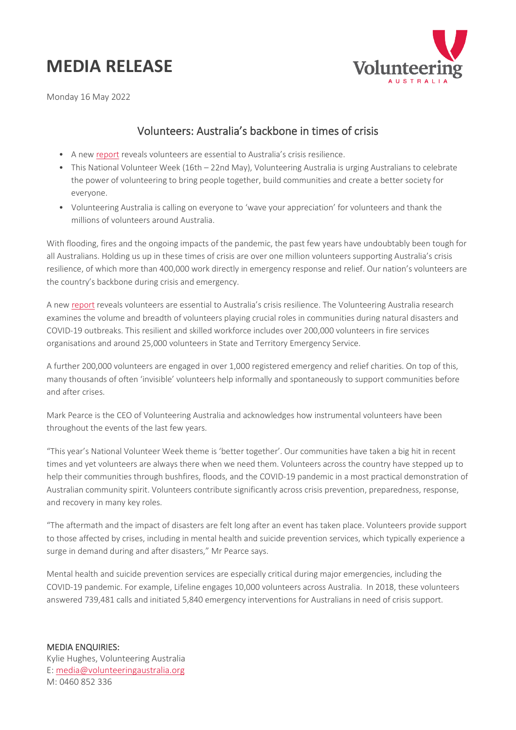## **MEDIA RELEASE**



Monday 16 May 2022

## Volunteers: Australia's backbone in times of crisis

- A new [report](https://www.volunteeringaustralia.org/wp-content/uploads/Volunteering-and-Australias-crisis-resilience_web.pdf) reveals volunteers are essential to Australia's crisis resilience.
- This National Volunteer Week (16th 22nd May), Volunteering Australia is urging Australians to celebrate the power of volunteering to bring people together, build communities and create a better society for everyone.
- Volunteering Australia is calling on everyone to 'wave your appreciation' for volunteers and thank the millions of volunteers around Australia.

With flooding, fires and the ongoing impacts of the pandemic, the past few years have undoubtably been tough for all Australians. Holding us up in these times of crisis are over one million volunteers supporting Australia's crisis resilience, of which more than 400,000 work directly in emergency response and relief. Our nation's volunteers are the country's backbone during crisis and emergency.

A ne[w report](https://www.volunteeringaustralia.org/wp-content/uploads/Volunteering-and-Australias-crisis-resilience_web.pdf) reveals volunteers are essential to Australia's crisis resilience. The Volunteering Australia research examines the volume and breadth of volunteers playing crucial roles in communities during natural disasters and COVID-19 outbreaks. This resilient and skilled workforce includes over 200,000 volunteers in fire services organisations and around 25,000 volunteers in State and Territory Emergency Service.

A further 200,000 volunteers are engaged in over 1,000 registered emergency and relief charities. On top of this, many thousands of often 'invisible' volunteers help informally and spontaneously to support communities before and after crises.

Mark Pearce is the CEO of Volunteering Australia and acknowledges how instrumental volunteers have been throughout the events of the last few years.

"This year's National Volunteer Week theme is 'better together'. Our communities have taken a big hit in recent times and yet volunteers are always there when we need them. Volunteers across the country have stepped up to help their communities through bushfires, floods, and the COVID-19 pandemic in a most practical demonstration of Australian community spirit. Volunteers contribute significantly across crisis prevention, preparedness, response, and recovery in many key roles.

"The aftermath and the impact of disasters are felt long after an event has taken place. Volunteers provide support to those affected by crises, including in mental health and suicide prevention services, which typically experience a surge in demand during and after disasters," Mr Pearce says.

Mental health and suicide prevention services are especially critical during major emergencies, including the COVID-19 pandemic. For example, Lifeline engages 10,000 volunteers across Australia. In 2018, these volunteers answered 739,481 calls and initiated 5,840 emergency interventions for Australians in need of crisis support.

MEDIA ENQUIRIES: Kylie Hughes, Volunteering Australia E: [media@volunteeringaustralia.org](mailto:media@volunteeringaustralia.org) M: 0460 852 336